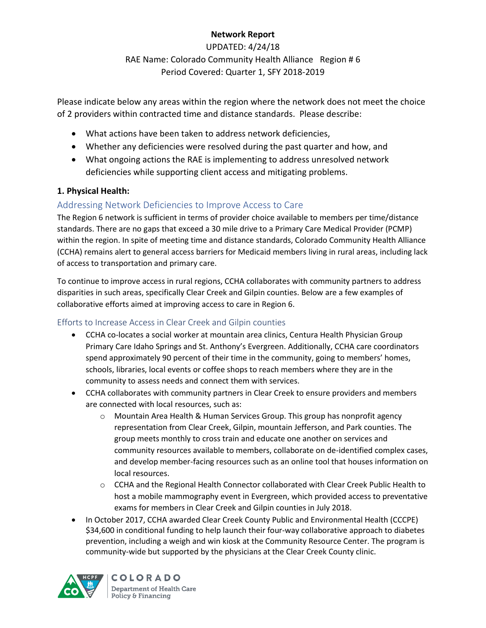## **Network Report**

UPDATED: 4/24/18 RAE Name: Colorado Community Health Alliance Region # 6 Period Covered: Quarter 1, SFY 2018-2019

Please indicate below any areas within the region where the network does not meet the choice of 2 providers within contracted time and distance standards. Please describe:

- What actions have been taken to address network deficiencies,
- Whether any deficiencies were resolved during the past quarter and how, and
- What ongoing actions the RAE is implementing to address unresolved network deficiencies while supporting client access and mitigating problems.

## **1. Physical Health:**

# Addressing Network Deficiencies to Improve Access to Care

The Region 6 network is sufficient in terms of provider choice available to members per time/distance standards. There are no gaps that exceed a 30 mile drive to a Primary Care Medical Provider (PCMP) within the region. In spite of meeting time and distance standards, Colorado Community Health Alliance (CCHA) remains alert to general access barriers for Medicaid members living in rural areas, including lack of access to transportation and primary care.

To continue to improve access in rural regions, CCHA collaborates with community partners to address disparities in such areas, specifically Clear Creek and Gilpin counties. Below are a few examples of collaborative efforts aimed at improving access to care in Region 6.

# Efforts to Increase Access in Clear Creek and Gilpin counties

- CCHA co-locates a social worker at mountain area clinics, Centura Health Physician Group Primary Care Idaho Springs and St. Anthony's Evergreen. Additionally, CCHA care coordinators spend approximately 90 percent of their time in the community, going to members' homes, schools, libraries, local events or coffee shops to reach members where they are in the community to assess needs and connect them with services.
- CCHA collaborates with community partners in Clear Creek to ensure providers and members are connected with local resources, such as:
	- $\circ$  Mountain Area Health & Human Services Group. This group has nonprofit agency representation from Clear Creek, Gilpin, mountain Jefferson, and Park counties. The group meets monthly to cross train and educate one another on services and community resources available to members, collaborate on de-identified complex cases, and develop member-facing resources such as an online tool that houses information on local resources.
	- o CCHA and the Regional Health Connector collaborated with Clear Creek Public Health to host a mobile mammography event in Evergreen, which provided access to preventative exams for members in Clear Creek and Gilpin counties in July 2018.
- In October 2017, CCHA awarded Clear Creek County Public and Environmental Health (CCCPE) \$34,600 in conditional funding to help launch their four-way collaborative approach to diabetes prevention, including a weigh and win kiosk at the Community Resource Center. The program is community-wide but supported by the physicians at the Clear Creek County clinic.



**COLORADO** Department of Health Care Policy & Financing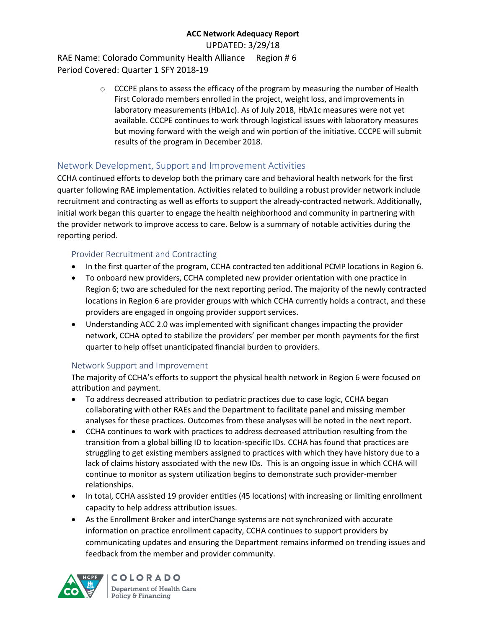UPDATED: 3/29/18

RAE Name: Colorado Community Health Alliance Region # 6 Period Covered: Quarter 1 SFY 2018-19

> $\circ$  CCCPE plans to assess the efficacy of the program by measuring the number of Health First Colorado members enrolled in the project, weight loss, and improvements in laboratory measurements (HbA1c). As of July 2018, HbA1c measures were not yet available. CCCPE continues to work through logistical issues with laboratory measures but moving forward with the weigh and win portion of the initiative. CCCPE will submit results of the program in December 2018.

## Network Development, Support and Improvement Activities

CCHA continued efforts to develop both the primary care and behavioral health network for the first quarter following RAE implementation. Activities related to building a robust provider network include recruitment and contracting as well as efforts to support the already-contracted network. Additionally, initial work began this quarter to engage the health neighborhood and community in partnering with the provider network to improve access to care. Below is a summary of notable activities during the reporting period.

## Provider Recruitment and Contracting

- In the first quarter of the program, CCHA contracted ten additional PCMP locations in Region 6.
- To onboard new providers, CCHA completed new provider orientation with one practice in Region 6; two are scheduled for the next reporting period. The majority of the newly contracted locations in Region 6 are provider groups with which CCHA currently holds a contract, and these providers are engaged in ongoing provider support services.
- Understanding ACC 2.0 was implemented with significant changes impacting the provider network, CCHA opted to stabilize the providers' per member per month payments for the first quarter to help offset unanticipated financial burden to providers.

## Network Support and Improvement

The majority of CCHA's efforts to support the physical health network in Region 6 were focused on attribution and payment.

- To address decreased attribution to pediatric practices due to case logic, CCHA began collaborating with other RAEs and the Department to facilitate panel and missing member analyses for these practices. Outcomes from these analyses will be noted in the next report.
- CCHA continues to work with practices to address decreased attribution resulting from the transition from a global billing ID to location-specific IDs. CCHA has found that practices are struggling to get existing members assigned to practices with which they have history due to a lack of claims history associated with the new IDs. This is an ongoing issue in which CCHA will continue to monitor as system utilization begins to demonstrate such provider-member relationships.
- In total, CCHA assisted 19 provider entities (45 locations) with increasing or limiting enrollment capacity to help address attribution issues.
- As the Enrollment Broker and interChange systems are not synchronized with accurate information on practice enrollment capacity, CCHA continues to support providers by communicating updates and ensuring the Department remains informed on trending issues and feedback from the member and provider community.



**COLORADO** Department of Health Care Policy & Financing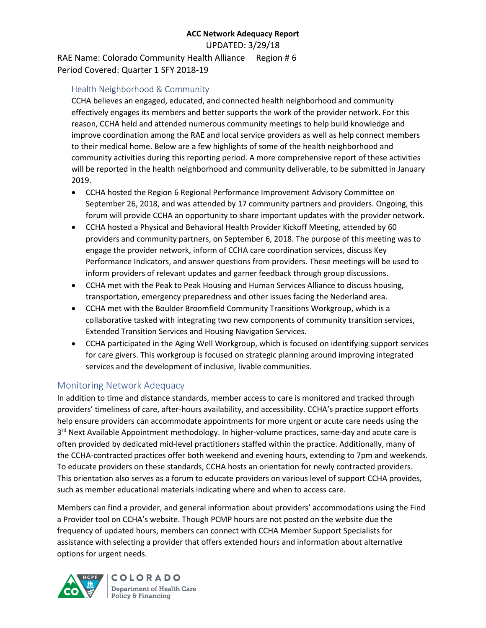UPDATED: 3/29/18

RAE Name: Colorado Community Health Alliance Region # 6 Period Covered: Quarter 1 SFY 2018-19

## Health Neighborhood & Community

CCHA believes an engaged, educated, and connected health neighborhood and community effectively engages its members and better supports the work of the provider network. For this reason, CCHA held and attended numerous community meetings to help build knowledge and improve coordination among the RAE and local service providers as well as help connect members to their medical home. Below are a few highlights of some of the health neighborhood and community activities during this reporting period. A more comprehensive report of these activities will be reported in the health neighborhood and community deliverable, to be submitted in January 2019.

- CCHA hosted the Region 6 Regional Performance Improvement Advisory Committee on September 26, 2018, and was attended by 17 community partners and providers. Ongoing, this forum will provide CCHA an opportunity to share important updates with the provider network.
- CCHA hosted a Physical and Behavioral Health Provider Kickoff Meeting, attended by 60 providers and community partners, on September 6, 2018. The purpose of this meeting was to engage the provider network, inform of CCHA care coordination services, discuss Key Performance Indicators, and answer questions from providers. These meetings will be used to inform providers of relevant updates and garner feedback through group discussions.
- CCHA met with the Peak to Peak Housing and Human Services Alliance to discuss housing, transportation, emergency preparedness and other issues facing the Nederland area.
- CCHA met with the Boulder Broomfield Community Transitions Workgroup, which is a collaborative tasked with integrating two new components of community transition services, Extended Transition Services and Housing Navigation Services.
- CCHA participated in the Aging Well Workgroup, which is focused on identifying support services for care givers. This workgroup is focused on strategic planning around improving integrated services and the development of inclusive, livable communities.

## Monitoring Network Adequacy

In addition to time and distance standards, member access to care is monitored and tracked through providers' timeliness of care, after-hours availability, and accessibility. CCHA's practice support efforts help ensure providers can accommodate appointments for more urgent or acute care needs using the 3<sup>rd</sup> Next Available Appointment methodology. In higher-volume practices, same-day and acute care is often provided by dedicated mid-level practitioners staffed within the practice. Additionally, many of the CCHA-contracted practices offer both weekend and evening hours, extending to 7pm and weekends. To educate providers on these standards, CCHA hosts an orientation for newly contracted providers. This orientation also serves as a forum to educate providers on various level of support CCHA provides, such as member educational materials indicating where and when to access care.

Members can find a provider, and general information about providers' accommodations using the Find a Provider tool on CCHA's website. Though PCMP hours are not posted on the website due the frequency of updated hours, members can connect with CCHA Member Support Specialists for assistance with selecting a provider that offers extended hours and information about alternative options for urgent needs.



**COLORADO** Department of Health Care Policy & Financing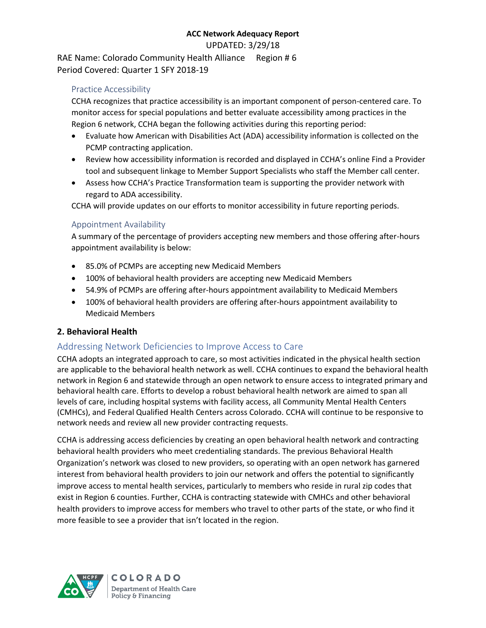UPDATED: 3/29/18

RAE Name: Colorado Community Health Alliance Region # 6 Period Covered: Quarter 1 SFY 2018-19

#### Practice Accessibility

CCHA recognizes that practice accessibility is an important component of person-centered care. To monitor access for special populations and better evaluate accessibility among practices in the Region 6 network, CCHA began the following activities during this reporting period:

- Evaluate how American with Disabilities Act (ADA) accessibility information is collected on the PCMP contracting application.
- Review how accessibility information is recorded and displayed in CCHA's online Find a Provider tool and subsequent linkage to Member Support Specialists who staff the Member call center.
- Assess how CCHA's Practice Transformation team is supporting the provider network with regard to ADA accessibility.

CCHA will provide updates on our efforts to monitor accessibility in future reporting periods.

#### Appointment Availability

A summary of the percentage of providers accepting new members and those offering after-hours appointment availability is below:

- 85.0% of PCMPs are accepting new Medicaid Members
- 100% of behavioral health providers are accepting new Medicaid Members
- 54.9% of PCMPs are offering after-hours appointment availability to Medicaid Members
- 100% of behavioral health providers are offering after-hours appointment availability to Medicaid Members

## **2. Behavioral Health**

## Addressing Network Deficiencies to Improve Access to Care

CCHA adopts an integrated approach to care, so most activities indicated in the physical health section are applicable to the behavioral health network as well. CCHA continues to expand the behavioral health network in Region 6 and statewide through an open network to ensure access to integrated primary and behavioral health care. Efforts to develop a robust behavioral health network are aimed to span all levels of care, including hospital systems with facility access, all Community Mental Health Centers (CMHCs), and Federal Qualified Health Centers across Colorado. CCHA will continue to be responsive to network needs and review all new provider contracting requests.

CCHA is addressing access deficiencies by creating an open behavioral health network and contracting behavioral health providers who meet credentialing standards. The previous Behavioral Health Organization's network was closed to new providers, so operating with an open network has garnered interest from behavioral health providers to join our network and offers the potential to significantly improve access to mental health services, particularly to members who reside in rural zip codes that exist in Region 6 counties. Further, CCHA is contracting statewide with CMHCs and other behavioral health providers to improve access for members who travel to other parts of the state, or who find it more feasible to see a provider that isn't located in the region.



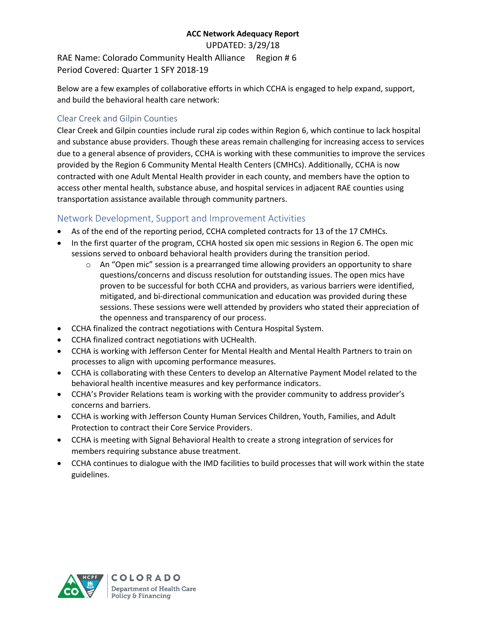UPDATED: 3/29/18

RAE Name: Colorado Community Health Alliance Region # 6 Period Covered: Quarter 1 SFY 2018-19

Below are a few examples of collaborative efforts in which CCHA is engaged to help expand, support, and build the behavioral health care network:

## Clear Creek and Gilpin Counties

Clear Creek and Gilpin counties include rural zip codes within Region 6, which continue to lack hospital and substance abuse providers. Though these areas remain challenging for increasing access to services due to a general absence of providers, CCHA is working with these communities to improve the services provided by the Region 6 Community Mental Health Centers (CMHCs). Additionally, CCHA is now contracted with one Adult Mental Health provider in each county, and members have the option to access other mental health, substance abuse, and hospital services in adjacent RAE counties using transportation assistance available through community partners.

## Network Development, Support and Improvement Activities

- As of the end of the reporting period, CCHA completed contracts for 13 of the 17 CMHCs.
- In the first quarter of the program, CCHA hosted six open mic sessions in Region 6. The open mic sessions served to onboard behavioral health providers during the transition period.
	- $\circ$  An "Open mic" session is a prearranged time allowing providers an opportunity to share questions/concerns and discuss resolution for outstanding issues. The open mics have proven to be successful for both CCHA and providers, as various barriers were identified, mitigated, and bi-directional communication and education was provided during these sessions. These sessions were well attended by providers who stated their appreciation of the openness and transparency of our process.
- CCHA finalized the contract negotiations with Centura Hospital System.
- CCHA finalized contract negotiations with UCHealth.
- CCHA is working with Jefferson Center for Mental Health and Mental Health Partners to train on processes to align with upcoming performance measures.
- CCHA is collaborating with these Centers to develop an Alternative Payment Model related to the behavioral health incentive measures and key performance indicators.
- CCHA's Provider Relations team is working with the provider community to address provider's concerns and barriers.
- CCHA is working with Jefferson County Human Services Children, Youth, Families, and Adult Protection to contract their Core Service Providers.
- CCHA is meeting with Signal Behavioral Health to create a strong integration of services for members requiring substance abuse treatment.
- CCHA continues to dialogue with the IMD facilities to build processes that will work within the state guidelines.

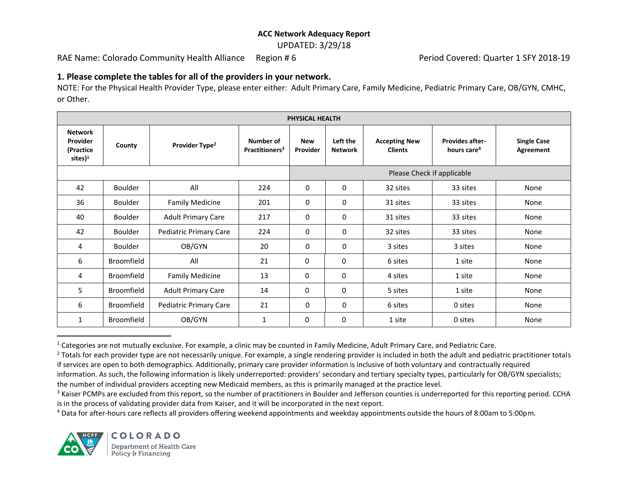UPDATED: 3/29/18

RAE Name: Colorado Community Health Alliance Region # 6 Period Covered: Quarter 1 SFY 2018-19

#### **1. Please complete the tables for all of the providers in your network.**

NOTE: For the Physical Health Provider Type, please enter either: Adult Primary Care, Family Medicine, Pediatric Primary Care, OB/GYN, CMHC, or Other.

| PHYSICAL HEALTH                                                |                   |                            |                                         |                            |                            |                                        |                                                   |                                 |  |
|----------------------------------------------------------------|-------------------|----------------------------|-----------------------------------------|----------------------------|----------------------------|----------------------------------------|---------------------------------------------------|---------------------------------|--|
| <b>Network</b><br>Provider<br>(Practice<br>sites) <sup>1</sup> | County            | Provider Type <sup>2</sup> | Number of<br>Practitioners <sup>3</sup> | <b>New</b><br>Provider     | Left the<br><b>Network</b> | <b>Accepting New</b><br><b>Clients</b> | <b>Provides after-</b><br>hours care <sup>4</sup> | <b>Single Case</b><br>Agreement |  |
|                                                                |                   |                            |                                         | Please Check if applicable |                            |                                        |                                                   |                                 |  |
| 42                                                             | <b>Boulder</b>    | All                        | 224                                     | 0                          | 0                          | 32 sites                               | 33 sites                                          | None                            |  |
| 36                                                             | <b>Boulder</b>    | <b>Family Medicine</b>     | 201                                     | 0                          | 0                          | 31 sites                               | 33 sites                                          | None                            |  |
| 40                                                             | <b>Boulder</b>    | <b>Adult Primary Care</b>  | 217                                     | 0                          | $\mathbf{0}$               | 31 sites                               | 33 sites                                          | None                            |  |
| 42                                                             | <b>Boulder</b>    | Pediatric Primary Care     | 224                                     | 0                          | $\mathbf 0$                | 32 sites                               | 33 sites                                          | None                            |  |
| 4                                                              | <b>Boulder</b>    | OB/GYN                     | 20                                      | 0                          | $\mathbf{0}$               | 3 sites                                | 3 sites                                           | None                            |  |
| 6                                                              | <b>Broomfield</b> | All                        | 21                                      | 0                          | $\Omega$                   | 6 sites                                | 1 site                                            | None                            |  |
| 4                                                              | <b>Broomfield</b> | <b>Family Medicine</b>     | 13                                      | 0                          | 0                          | 4 sites                                | 1 site                                            | None                            |  |
| 5                                                              | Broomfield        | <b>Adult Primary Care</b>  | 14                                      | 0                          | 0                          | 5 sites                                | 1 site                                            | None                            |  |
| 6                                                              | <b>Broomfield</b> | Pediatric Primary Care     | 21                                      | 0                          | 0                          | 6 sites                                | 0 sites                                           | None                            |  |
| $\mathbf{1}$                                                   | <b>Broomfield</b> | OB/GYN                     | 1                                       | 0                          | 0                          | 1 site                                 | 0 sites                                           | None                            |  |

 $1$  Categories are not mutually exclusive. For example, a clinic may be counted in Family Medicine, Adult Primary Care, and Pediatric Care.

<sup>2</sup> Totals for each provider type are not necessarily unique. For example, a single rendering provider is included in both the adult and pediatric practitioner totals if services are open to both demographics. Additionally, primary care provider information is inclusive of both voluntary and contractually required

<sup>4</sup> Data for after-hours care reflects all providers offering weekend appointments and weekday appointments outside the hours of 8:00am to 5:00pm.



 $\overline{a}$ 

information. As such, the following information is likely underreported: providers' secondary and tertiary specialty types, particularly for OB/GYN specialists; the number of individual providers accepting new Medicaid members, as this is primarily managed at the practice level.

<sup>&</sup>lt;sup>3</sup> Kaiser PCMPs are excluded from this report, so the number of practitioners in Boulder and Jefferson counties is underreported for this reporting period. CCHA is in the process of validating provider data from Kaiser, and it will be incorporated in the next report.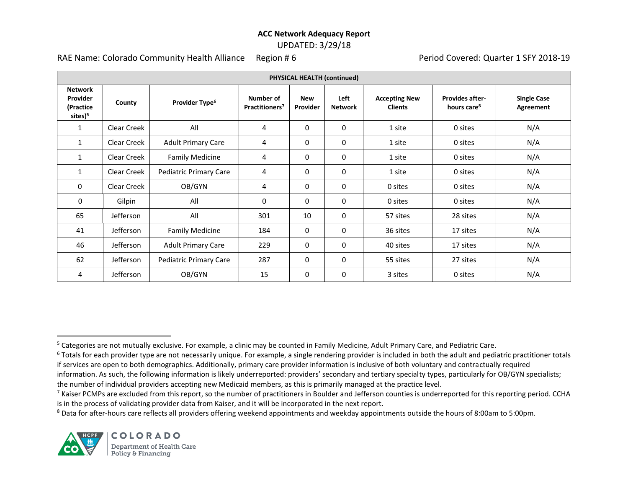## UPDATED: 3/29/18

RAE Name: Colorado Community Health Alliance Region # 6 Period Covered: Quarter 1 SFY 2018-19

| PHYSICAL HEALTH (continued)                                    |             |                            |                                         |                        |                        |                                        |                                                   |                                 |  |
|----------------------------------------------------------------|-------------|----------------------------|-----------------------------------------|------------------------|------------------------|----------------------------------------|---------------------------------------------------|---------------------------------|--|
| <b>Network</b><br>Provider<br>(Practice<br>sites) <sup>5</sup> | County      | Provider Type <sup>6</sup> | Number of<br>Practitioners <sup>7</sup> | <b>New</b><br>Provider | Left<br><b>Network</b> | <b>Accepting New</b><br><b>Clients</b> | <b>Provides after-</b><br>hours care <sup>8</sup> | <b>Single Case</b><br>Agreement |  |
| $\mathbf{1}$                                                   | Clear Creek | All                        | 4                                       | 0                      | 0                      | 1 site                                 | 0 sites                                           | N/A                             |  |
| $\mathbf{1}$                                                   | Clear Creek | <b>Adult Primary Care</b>  | 4                                       | 0                      | 0                      | 1 site                                 | 0 sites                                           | N/A                             |  |
| $\mathbf{1}$                                                   | Clear Creek | <b>Family Medicine</b>     | 4                                       | 0                      | 0                      | 1 site                                 | 0 sites                                           | N/A                             |  |
| $\mathbf{1}$                                                   | Clear Creek | Pediatric Primary Care     | 4                                       | 0                      | 0                      | 1 site                                 | 0 sites                                           | N/A                             |  |
| 0                                                              | Clear Creek | OB/GYN                     | 4                                       | 0                      | 0                      | 0 sites                                | 0 sites                                           | N/A                             |  |
| 0                                                              | Gilpin      | All                        | 0                                       | 0                      | $\Omega$               | 0 sites                                | 0 sites                                           | N/A                             |  |
| 65                                                             | Jefferson   | All                        | 301                                     | 10                     | 0                      | 57 sites                               | 28 sites                                          | N/A                             |  |
| 41                                                             | Jefferson   | <b>Family Medicine</b>     | 184                                     | 0                      | 0                      | 36 sites                               | 17 sites                                          | N/A                             |  |
| 46                                                             | Jefferson   | <b>Adult Primary Care</b>  | 229                                     | 0                      | 0                      | 40 sites                               | 17 sites                                          | N/A                             |  |
| 62                                                             | Jefferson   | Pediatric Primary Care     | 287                                     | 0                      | 0                      | 55 sites                               | 27 sites                                          | N/A                             |  |
| 4                                                              | Jefferson   | OB/GYN                     | 15                                      | 0                      | 0                      | 3 sites                                | 0 sites                                           | N/A                             |  |

<sup>8</sup> Data for after-hours care reflects all providers offering weekend appointments and weekday appointments outside the hours of 8:00am to 5:00pm.



 $\overline{a}$ 

<sup>&</sup>lt;sup>5</sup> Categories are not mutually exclusive. For example, a clinic may be counted in Family Medicine, Adult Primary Care, and Pediatric Care.

<sup>&</sup>lt;sup>6</sup> Totals for each provider type are not necessarily unique. For example, a single rendering provider is included in both the adult and pediatric practitioner totals if services are open to both demographics. Additionally, primary care provider information is inclusive of both voluntary and contractually required

information. As such, the following information is likely underreported: providers' secondary and tertiary specialty types, particularly for OB/GYN specialists; the number of individual providers accepting new Medicaid members, as this is primarily managed at the practice level.

 $7$  Kaiser PCMPs are excluded from this report, so the number of practitioners in Boulder and Jefferson counties is underreported for this reporting period. CCHA is in the process of validating provider data from Kaiser, and it will be incorporated in the next report.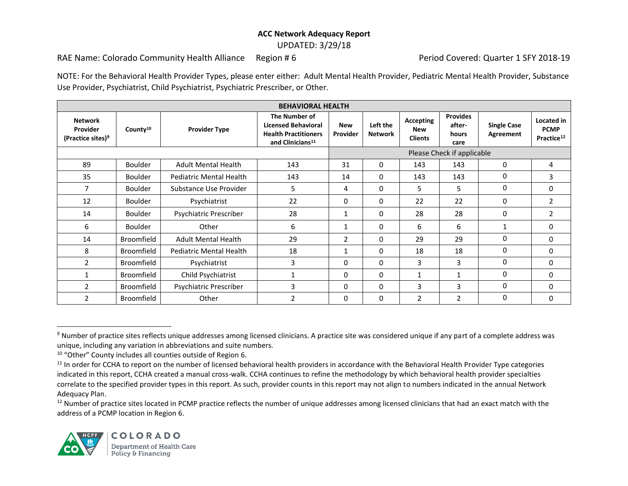UPDATED: 3/29/18

RAE Name: Colorado Community Health Alliance Region # 6 Period Covered: Quarter 1 SFY 2018-19

NOTE: For the Behavioral Health Provider Types, please enter either: Adult Mental Health Provider, Pediatric Mental Health Provider, Substance Use Provider, Psychiatrist, Child Psychiatrist, Psychiatric Prescriber, or Other.

| <b>BEHAVIORAL HEALTH</b>                                    |                      |                                |                                                                                                            |                        |                            |                                           |                                            |                                 |                                                     |  |  |
|-------------------------------------------------------------|----------------------|--------------------------------|------------------------------------------------------------------------------------------------------------|------------------------|----------------------------|-------------------------------------------|--------------------------------------------|---------------------------------|-----------------------------------------------------|--|--|
| <b>Network</b><br>Provider<br>(Practice sites) <sup>9</sup> | County <sup>10</sup> | <b>Provider Type</b>           | The Number of<br><b>Licensed Behavioral</b><br><b>Health Practitioners</b><br>and Clinicians <sup>11</sup> | <b>New</b><br>Provider | Left the<br><b>Network</b> | Accepting<br><b>New</b><br><b>Clients</b> | <b>Provides</b><br>after-<br>hours<br>care | <b>Single Case</b><br>Agreement | Located in<br><b>PCMP</b><br>Practice <sup>12</sup> |  |  |
|                                                             |                      |                                |                                                                                                            |                        | Please Check if applicable |                                           |                                            |                                 |                                                     |  |  |
| 89                                                          | <b>Boulder</b>       | <b>Adult Mental Health</b>     | 143                                                                                                        | 31                     | 0                          | 143                                       | 143                                        | $\mathbf{0}$                    | 4                                                   |  |  |
| 35                                                          | <b>Boulder</b>       | <b>Pediatric Mental Health</b> | 143                                                                                                        | 14                     | $\mathbf{0}$               | 143                                       | 143                                        | $\mathbf{0}$                    | 3                                                   |  |  |
| 7                                                           | <b>Boulder</b>       | Substance Use Provider         | 5                                                                                                          | 4                      | 0                          | 5                                         | 5                                          | $\mathbf{0}$                    | 0                                                   |  |  |
| 12                                                          | <b>Boulder</b>       | Psychiatrist                   | 22                                                                                                         | 0                      | $\mathbf{0}$               | 22                                        | 22                                         | $\Omega$                        | $\overline{2}$                                      |  |  |
| 14                                                          | Boulder              | Psychiatric Prescriber         | 28                                                                                                         | 1                      | $\mathbf{0}$               | 28                                        | 28                                         | $\mathbf{0}$                    | 2                                                   |  |  |
| 6                                                           | <b>Boulder</b>       | Other                          | 6                                                                                                          | 1                      | $\mathbf{0}$               | 6                                         | 6                                          | 1                               | 0                                                   |  |  |
| 14                                                          | Broomfield           | <b>Adult Mental Health</b>     | 29                                                                                                         | $\overline{2}$         | $\mathbf{0}$               | 29                                        | 29                                         | $\mathbf{0}$                    | 0                                                   |  |  |
| 8                                                           | <b>Broomfield</b>    | <b>Pediatric Mental Health</b> | 18                                                                                                         | 1                      | 0                          | 18                                        | 18                                         | $\mathbf{0}$                    | 0                                                   |  |  |
| 2                                                           | Broomfield           | Psychiatrist                   | 3                                                                                                          | 0                      | $\mathbf{0}$               | 3                                         | 3                                          | $\mathbf{0}$                    | 0                                                   |  |  |
| $\mathbf{1}$                                                | Broomfield           | Child Psychiatrist             | 1                                                                                                          | 0                      | $\mathbf{0}$               | $\mathbf{1}$                              | $\mathbf{1}$                               | 0                               | 0                                                   |  |  |
| 2                                                           | Broomfield           | Psychiatric Prescriber         | 3                                                                                                          | 0                      | $\mathbf{0}$               | 3                                         | 3                                          | $\mathbf{0}$                    | $\Omega$                                            |  |  |
| 2                                                           | <b>Broomfield</b>    | Other                          | $\overline{2}$                                                                                             | 0                      | 0                          | 2                                         | $\overline{2}$                             | $\mathbf{0}$                    | 0                                                   |  |  |

<sup>12</sup> Number of practice sites located in PCMP practice reflects the number of unique addresses among licensed clinicians that had an exact match with the address of a PCMP location in Region 6.



 $\overline{\phantom{a}}$ 

<sup>&</sup>lt;sup>9</sup> Number of practice sites reflects unique addresses among licensed clinicians. A practice site was considered unique if any part of a complete address was unique, including any variation in abbreviations and suite numbers.

<sup>10</sup> "Other" County includes all counties outside of Region 6.

<sup>&</sup>lt;sup>11</sup> In order for CCHA to report on the number of licensed behavioral health providers in accordance with the Behavioral Health Provider Type categories indicated in this report, CCHA created a manual cross-walk. CCHA continues to refine the methodology by which behavioral health provider specialties correlate to the specified provider types in this report. As such, provider counts in this report may not align to numbers indicated in the annual Network Adequacy Plan.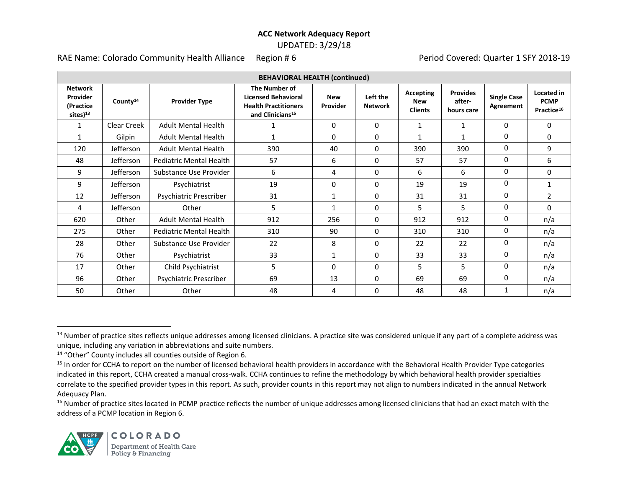UPDATED: 3/29/18

RAE Name: Colorado Community Health Alliance Region # 6 Period Covered: Quarter 1 SFY 2018-19

| <b>BEHAVIORAL HEALTH (continued)</b>                            |                      |                                |                                                                                                            |                        |                            |                                           |                                         |                                 |                                                     |
|-----------------------------------------------------------------|----------------------|--------------------------------|------------------------------------------------------------------------------------------------------------|------------------------|----------------------------|-------------------------------------------|-----------------------------------------|---------------------------------|-----------------------------------------------------|
| <b>Network</b><br>Provider<br>(Practice<br>sites) <sup>13</sup> | County <sup>14</sup> | <b>Provider Type</b>           | The Number of<br><b>Licensed Behavioral</b><br><b>Health Practitioners</b><br>and Clinicians <sup>15</sup> | <b>New</b><br>Provider | Left the<br><b>Network</b> | Accepting<br><b>New</b><br><b>Clients</b> | <b>Provides</b><br>after-<br>hours care | <b>Single Case</b><br>Agreement | Located in<br><b>PCMP</b><br>Practice <sup>16</sup> |
| 1                                                               | Clear Creek          | <b>Adult Mental Health</b>     | 1                                                                                                          | 0                      | $\Omega$                   | 1                                         | 1                                       | $\Omega$                        | $\mathbf 0$                                         |
| 1                                                               | Gilpin               | <b>Adult Mental Health</b>     | 1                                                                                                          | 0                      | 0                          | 1                                         | $\mathbf{1}$                            | $\mathbf{0}$                    | 0                                                   |
| 120                                                             | <b>Jefferson</b>     | <b>Adult Mental Health</b>     | 390                                                                                                        | 40                     | 0                          | 390                                       | 390                                     | $\mathbf{0}$                    | 9                                                   |
| 48                                                              | <b>Jefferson</b>     | <b>Pediatric Mental Health</b> | 57                                                                                                         | 6                      | 0                          | 57                                        | 57                                      | $\mathbf{0}$                    | 6                                                   |
| 9                                                               | Jefferson            | Substance Use Provider         | 6                                                                                                          | 4                      | 0                          | 6                                         | 6                                       | $\mathbf{0}$                    | 0                                                   |
| 9                                                               | Jefferson            | Psychiatrist                   | 19                                                                                                         | 0                      | 0                          | 19                                        | 19                                      | $\Omega$                        | $\mathbf{1}$                                        |
| 12                                                              | Jefferson            | Psychiatric Prescriber         | 31                                                                                                         | $\mathbf{1}$           | 0                          | 31                                        | 31                                      | $\mathbf 0$                     | $\overline{2}$                                      |
| 4                                                               | Jefferson            | Other                          | 5                                                                                                          | $\mathbf{1}$           | 0                          | 5                                         | 5                                       | $\mathbf{0}$                    | $\Omega$                                            |
| 620                                                             | Other                | <b>Adult Mental Health</b>     | 912                                                                                                        | 256                    | 0                          | 912                                       | 912                                     | 0                               | n/a                                                 |
| 275                                                             | Other                | Pediatric Mental Health        | 310                                                                                                        | 90                     | 0                          | 310                                       | 310                                     | 0                               | n/a                                                 |
| 28                                                              | Other                | Substance Use Provider         | 22                                                                                                         | 8                      | 0                          | 22                                        | 22                                      | $\mathbf{0}$                    | n/a                                                 |
| 76                                                              | Other                | Psychiatrist                   | 33                                                                                                         | 1                      | 0                          | 33                                        | 33                                      | $\mathbf{0}$                    | n/a                                                 |
| 17                                                              | Other                | Child Psychiatrist             | 5                                                                                                          | 0                      | 0                          | 5                                         | 5                                       | $\Omega$                        | n/a                                                 |
| 96                                                              | Other                | Psychiatric Prescriber         | 69                                                                                                         | 13                     | 0                          | 69                                        | 69                                      | $\mathbf{0}$                    | n/a                                                 |
| 50                                                              | Other                | Other                          | 48                                                                                                         | 4                      | 0                          | 48                                        | 48                                      | 1                               | n/a                                                 |

<sup>16</sup> Number of practice sites located in PCMP practice reflects the number of unique addresses among licensed clinicians that had an exact match with the address of a PCMP location in Region 6.



 $\overline{\phantom{a}}$ 

<sup>&</sup>lt;sup>13</sup> Number of practice sites reflects unique addresses among licensed clinicians. A practice site was considered unique if any part of a complete address was unique, including any variation in abbreviations and suite numbers.

<sup>14</sup> "Other" County includes all counties outside of Region 6.

<sup>&</sup>lt;sup>15</sup> In order for CCHA to report on the number of licensed behavioral health providers in accordance with the Behavioral Health Provider Type categories indicated in this report, CCHA created a manual cross-walk. CCHA continues to refine the methodology by which behavioral health provider specialties correlate to the specified provider types in this report. As such, provider counts in this report may not align to numbers indicated in the annual Network Adequacy Plan.